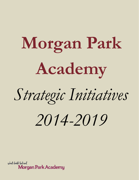# **Morgan Park Academy**

*Strategic Initiatives*

*2014-2019*

school should feel real Morgan Park Academy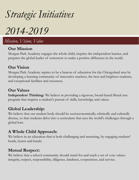# *Strategic Initiatives*

*2014-2019*

*Mission, Vision, Value*

#### **Our Mission**

Morgan Park Academy engages the whole child, inspires the independent learner, and prepares the global leader of tomorrow to make a positive difference in the world.

#### **Our Vision**

Morgan Park Academy aspires to be a beacon of education for the Chicagoland area by developing a learning community of innovative teachers, the best and brightest students, and exceptional facilities and resources.

#### **Our Values**

**Independent Thinking:** We believe in providing a rigorous, broad-based liberal arts program that inspires a student's pursuit of skills, knowledge and values.

### **Global Leadership:**

We believe that our student body should be socioeconomically, ethnically and culturally diverse, so that students delve into a curriculum that sees the world's challenges through a global lens.

### **A Whole Child Approach:**

We believe in an education that is both challenging and nurturing, by engaging students' heads, hearts and hands.

### **Mutual Respect:**

We believe that a school community should stand for and teach a set of core values: integrity, respect, responsibility, diligence, kindness, cooperation, and service.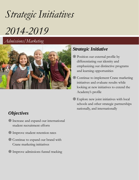# *Strategic Initiatives*

# *2014-2019*

*Admissions/Marketing*



# *Objectives*

- Increase and expand our international student recruitment efforts
- Improve student retention rates
- Continue to expand our brand with Crane marketing initiatives
- Improve admissions funnel tracking

# *Strategic Initiative*

- Position our external profile by differentiating our identity and emphasizing our distinctive programs and learning opportunities
- Continue to implement Crane marketing initiatives and evaluate results while looking at new initiatives to extend the Academy's profile
- Explore new joint initiatives with local schools and other strategic partnerships nationally, and internationally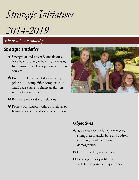*Strategic Initiatives*

*2014-2019*

*Financial Sustainability*

#### *Strategic Initiative*

- Strengthen and diversify our financial base by improving efficiency, increasing fundraising, and developing new revenue sources
- Budget and plan carefully evaluating priorities – competitive compensation, small class size, and financial aid – in setting tuition levels
- Reinforce major donor relations
- Review our tuition model as it relates to financial stability and value proposition



#### *Objectives*

- Revise tuition modeling process to strengthen financial base and address changing social/economic demographics
- Create ancillary revenue stream
- Develop donor profile and solicitation plan for major donors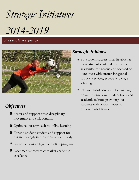*Strategic Initiatives 2014-2019*

*Academic Excellence*



# *Objectives*

- Foster and support cross-disciplinary movement and collaboration
- Optimize our approach to online learning
- Expand student services and support for our increasingly international student body
- Strengthen our college counseling program
- Document successes & market academic excellence

# *Strategic Initiative*

- Put student success first. Establish a more student-centered environment; academically rigorous and focused on outcomes; with strong, integrated support services, especially college advising
- Elevate global education by building on our international student body and academic culture, providing our students with opportunities to explore global issues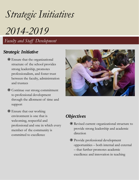# *Strategic Initiatives*

*2014-2019*

*Faculty and Staff Development*

### *Strategic Initiative*

- Ensure that the organizational structure of the school provides strong leadership, promotes professionalism, and foster trust between the faculty, administration and trustees
- Continue our strong commitment to professional development through the allotment of time and support
- Ensure that our working environment is one that is welcoming, respectful and professional and one in which every member of the community is committed to excellence



### *Objectives*

- Revised current organizational structure to provide strong leadership and academic direction
- Provide professional development opportunities – both internal and external – that further promotes academic excellence and innovation in teaching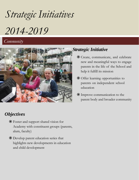# *Strategic Initiatives 2014-2019*

# *Community*



# *Objectives*

- Foster and support shared vision for Academy with constituent groups (parents, alum, faculty)
- Develop parent education series that highlights new developments in education and child development

### *Strategic Initiative*

- Create, communicate, and celebrate new and meaningful ways to engage parents in the life of the School and help it fulfill its mission
- Offer learning opportunities to parents on independent school education
- Improve communication to the parent body and broader community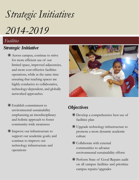*Strategic Initiatives*

*2014-2019*

#### *Facilities*

#### *Strategic Initiative*

- Across campus, continue to strive for more efficient use of our limited space, improved adjacencies, and more cost-effective facilities operations, while at the same time ensuring that teaching spaces are highly conducive to collaborative, technology‐dependent, and globally networked approaches
- Establish commitment to environmental sustainability emphasizing an interdisciplinary and holistic approach to foster community-wide awareness
- Improve our infrastructure to support our academic goals; and continue to improve our technology infrastructure and operations



# *Objectives*

- Develop a comprehensive best use of facilities plan
- Upgrade technology infrastructure to promote a more dynamic academic culture
- Collaborate with external communities to advance environmental sustainability efforts
- Perform State of Good Repairs audit on all campus facilities and prioritize campus repairs/upgrades